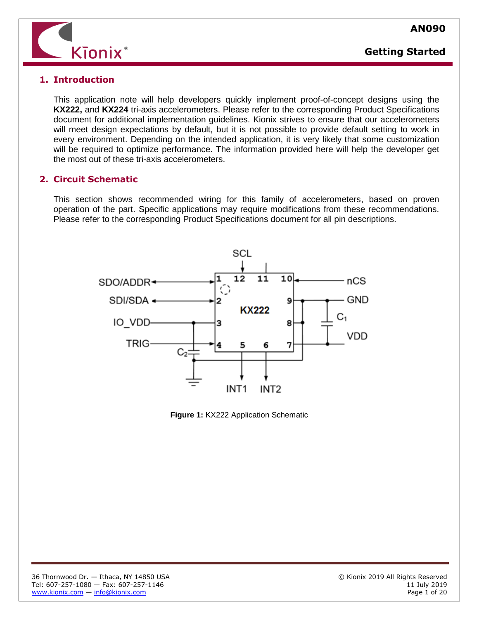



#### **1. Introduction**

This application note will help developers quickly implement proof-of-concept designs using the **KX222,** and **KX224** tri-axis accelerometers. Please refer to the corresponding Product Specifications document for additional implementation guidelines. Kionix strives to ensure that our accelerometers will meet design expectations by default, but it is not possible to provide default setting to work in every environment. Depending on the intended application, it is very likely that some customization will be required to optimize performance. The information provided here will help the developer get the most out of these tri-axis accelerometers.

### **2. Circuit Schematic**

This section shows recommended wiring for this family of accelerometers, based on proven operation of the part. Specific applications may require modifications from these recommendations. Please refer to the corresponding Product Specifications document for all pin descriptions.



**Figure 1:** KX222 Application Schematic

l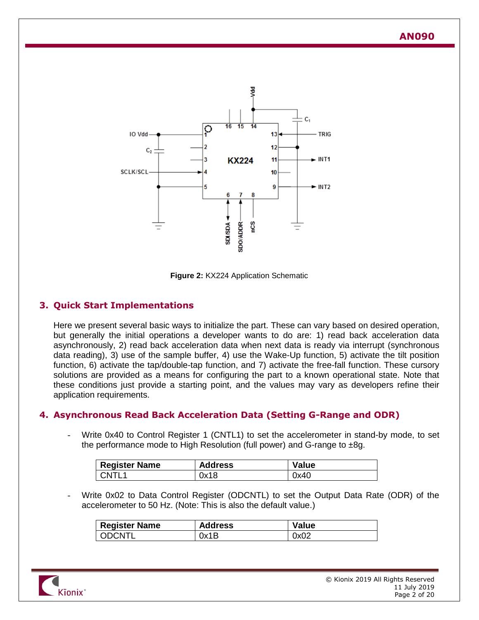

**Figure 2:** KX224 Application Schematic

## **3. Quick Start Implementations**

Here we present several basic ways to initialize the part. These can vary based on desired operation, but generally the initial operations a developer wants to do are: 1) read back acceleration data asynchronously, 2) read back acceleration data when next data is ready via interrupt (synchronous data reading), 3) use of the sample buffer, 4) use the Wake-Up function, 5) activate the tilt position function, 6) activate the tap/double-tap function, and 7) activate the free-fall function. These cursory solutions are provided as a means for configuring the part to a known operational state. Note that these conditions just provide a starting point, and the values may vary as developers refine their application requirements.

### **4. Asynchronous Read Back Acceleration Data (Setting G-Range and ODR)**

Write 0x40 to Control Register 1 (CNTL1) to set the accelerometer in stand-by mode, to set the performance mode to High Resolution (full power) and G-range to  $\pm 8g$ .

| <b>Register Name</b> | <b>Address</b> | Value |
|----------------------|----------------|-------|
| CNTL <sub>1</sub>    | 0x18           | 0x40  |

Write 0x02 to Data Control Register (ODCNTL) to set the Output Data Rate (ODR) of the accelerometer to 50 Hz. (Note: This is also the default value.)

| <b>Register Name</b> | <b>Address</b> | <b>Value</b> |
|----------------------|----------------|--------------|
| ODCNTL               | 0x1B           | 0x02         |

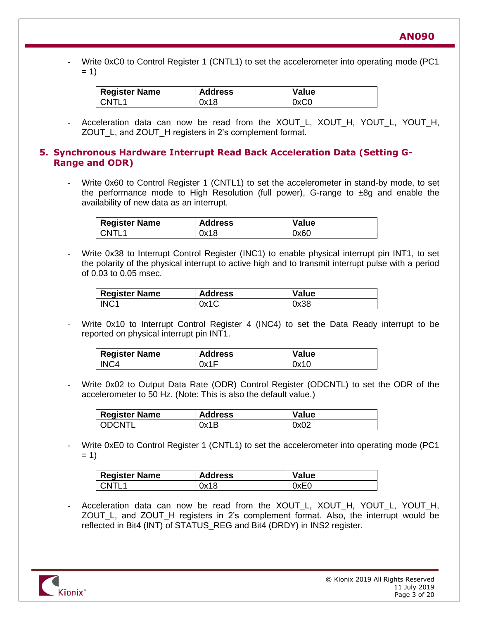Write 0xC0 to Control Register 1 (CNTL1) to set the accelerometer into operating mode (PC1  $= 1$ 

| <b>Register Name</b> | <b>Address</b> | <b>Value</b> |
|----------------------|----------------|--------------|
| $CMTI$ 1             | 0x18           | 0xC0         |

Acceleration data can now be read from the XOUT\_L, XOUT\_H, YOUT\_L, YOUT\_H, ZOUT\_L, and ZOUT\_H registers in 2's complement format.

#### **5. Synchronous Hardware Interrupt Read Back Acceleration Data (Setting G-Range and ODR)**

Write 0x60 to Control Register 1 (CNTL1) to set the accelerometer in stand-by mode, to set the performance mode to High Resolution (full power), G-range to ±8g and enable the availability of new data as an interrupt.

| <b>Register Name</b> | <b>Address</b> | <b>Value</b> |
|----------------------|----------------|--------------|
| CNTL <sub>1</sub>    | 0x18           | 0x60         |

Write 0x38 to Interrupt Control Register (INC1) to enable physical interrupt pin INT1, to set the polarity of the physical interrupt to active high and to transmit interrupt pulse with a period of 0.03 to 0.05 msec.

| <b>Register Name</b> | <b>Address</b> | <b>Value</b> |
|----------------------|----------------|--------------|
| INC <sub>1</sub>     | 0x1C           | 0x38         |

Write 0x10 to Interrupt Control Register 4 (INC4) to set the Data Ready interrupt to be reported on physical interrupt pin INT1.

| <b>Register Name</b> | <b>Address</b> | <b>Value</b> |
|----------------------|----------------|--------------|
| INC <sub>4</sub>     | 0x1F           | 0x10         |

Write 0x02 to Output Data Rate (ODR) Control Register (ODCNTL) to set the ODR of the accelerometer to 50 Hz. (Note: This is also the default value.)

| <b>Register Name</b> | <b>Address</b> | <b>Value</b> |
|----------------------|----------------|--------------|
| LODCNTI              | 0x1B           | 0x02         |

Write 0xE0 to Control Register 1 (CNTL1) to set the accelerometer into operating mode (PC1  $= 1$ 

| <b>Register Name</b> | <b>Address</b> | <b>Value</b> |
|----------------------|----------------|--------------|
| CNTI <sub>1</sub>    | 0x18           | 0xE0         |

Acceleration data can now be read from the XOUT L, XOUT H, YOUT L, YOUT H, ZOUT\_L, and ZOUT\_H registers in 2's complement format. Also, the interrupt would be reflected in Bit4 (INT) of STATUS\_REG and Bit4 (DRDY) in INS2 register.

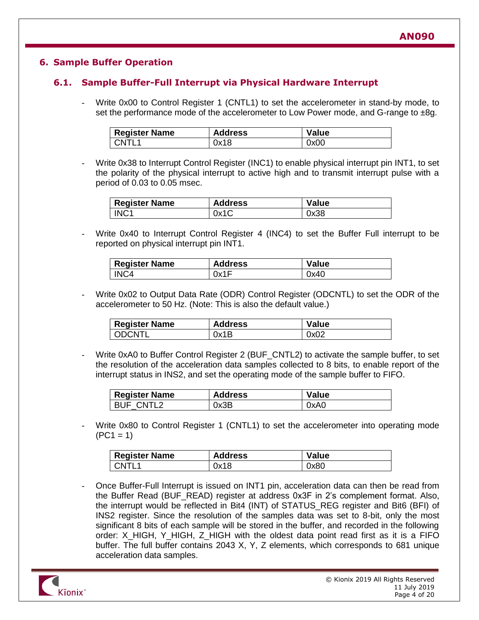## **6. Sample Buffer Operation**

## **6.1. Sample Buffer-Full Interrupt via Physical Hardware Interrupt**

Write 0x00 to Control Register 1 (CNTL1) to set the accelerometer in stand-by mode, to set the performance mode of the accelerometer to Low Power mode, and G-range to  $\pm 8g$ .

| <b>Register Name</b> | <b>Address</b> | <b>Value</b> |
|----------------------|----------------|--------------|
| l CNTL1              | 0x18           | 0x00         |

Write 0x38 to Interrupt Control Register (INC1) to enable physical interrupt pin INT1, to set the polarity of the physical interrupt to active high and to transmit interrupt pulse with a period of 0.03 to 0.05 msec.

| <b>Register Name</b> | <b>Address</b> | <b>Value</b> |
|----------------------|----------------|--------------|
| INC <sub>1</sub>     | 0x1C           | 0x38         |

Write 0x40 to Interrupt Control Register 4 (INC4) to set the Buffer Full interrupt to be reported on physical interrupt pin INT1.

| <b>Register Name</b> | <b>Address</b> | <b>Value</b> |
|----------------------|----------------|--------------|
| INC4                 | 0x1F           | 0x40         |

- Write 0x02 to Output Data Rate (ODR) Control Register (ODCNTL) to set the ODR of the accelerometer to 50 Hz. (Note: This is also the default value.)

| <b>Register Name</b> | <b>Address</b> | <b>Value</b> |
|----------------------|----------------|--------------|
| ODCNTL               | 0x1B           | 0x02         |

Write 0xA0 to Buffer Control Register 2 (BUF\_CNTL2) to activate the sample buffer, to set the resolution of the acceleration data samples collected to 8 bits, to enable report of the interrupt status in INS2, and set the operating mode of the sample buffer to FIFO.

| <b>Register Name</b> | <b>Address</b> | <b>Value</b> |
|----------------------|----------------|--------------|
| BUF CNTL2            | 0x3B           | 0xA0         |

Write 0x80 to Control Register 1 (CNTL1) to set the accelerometer into operating mode  $(PC1 = 1)$ 

| <b>Register Name</b> | <b>Address</b> | <b>Value</b> |
|----------------------|----------------|--------------|
| l CNTL1              | 0x18           | 0x80         |

- Once Buffer-Full Interrupt is issued on INT1 pin, acceleration data can then be read from the Buffer Read (BUF\_READ) register at address 0x3F in 2's complement format. Also, the interrupt would be reflected in Bit4 (INT) of STATUS\_REG register and Bit6 (BFI) of INS2 register. Since the resolution of the samples data was set to 8-bit, only the most significant 8 bits of each sample will be stored in the buffer, and recorded in the following order: X\_HIGH, Y\_HIGH, Z\_HIGH with the oldest data point read first as it is a FIFO buffer. The full buffer contains 2043 X, Y, Z elements, which corresponds to 681 unique acceleration data samples.

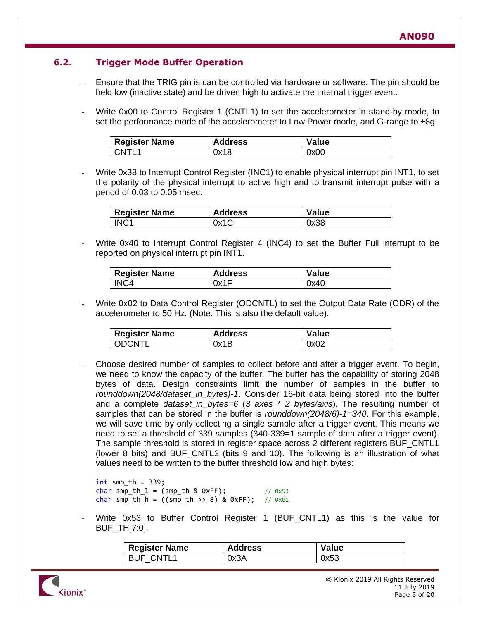# **6.2. Trigger Mode Buffer Operation**

- Ensure that the TRIG pin is can be controlled via hardware or software. The pin should be held low (inactive state) and be driven high to activate the internal trigger event.
- Write 0x00 to Control Register 1 (CNTL1) to set the accelerometer in stand-by mode, to set the performance mode of the accelerometer to Low Power mode, and G-range to  $\pm 8g$ .

| <b>Register Name</b> | <b>Address</b> | <b>Value</b> |
|----------------------|----------------|--------------|
| CNTI <sup>1</sup>    | 0x18           | 0x00         |

Write 0x38 to Interrupt Control Register (INC1) to enable physical interrupt pin INT1, to set the polarity of the physical interrupt to active high and to transmit interrupt pulse with a period of 0.03 to 0.05 msec.

| <b>Register Name</b> | <b>Address</b> | <b>Value</b> |
|----------------------|----------------|--------------|
| INC <sub>1</sub>     | 0x1C           | 0x38         |

Write 0x40 to Interrupt Control Register 4 (INC4) to set the Buffer Full interrupt to be reported on physical interrupt pin INT1.

| <b>Register Name</b> | <b>Address</b> | <b>Value</b> |
|----------------------|----------------|--------------|
| INC <sub>4</sub>     | 0x1F           | 0x40         |

Write 0x02 to Data Control Register (ODCNTL) to set the Output Data Rate (ODR) of the accelerometer to 50 Hz. (Note: This is also the default value).

| <b>Register Name</b> | <b>Address</b> | <b>Value</b> |
|----------------------|----------------|--------------|
| ODCNTL               | 0x1B           | 0x02         |

Choose desired number of samples to collect before and after a trigger event. To begin, we need to know the capacity of the buffer. The buffer has the capability of storing 2048 bytes of data. Design constraints limit the number of samples in the buffer to *rounddown(2048/dataset\_in\_bytes)-1*. Consider 16-bit data being stored into the buffer and a complete *dataset\_in\_bytes=6* (*3 axes \* 2 bytes/axis*). The resulting number of samples that can be stored in the buffer is *rounddown(2048/6)-1=340*. For this example, we will save time by only collecting a single sample after a trigger event. This means we need to set a threshold of 339 samples (340-339=1 sample of data after a trigger event). The sample threshold is stored in register space across 2 different registers BUF\_CNTL1 (lower 8 bits) and BUF\_CNTL2 (bits 9 and 10). The following is an illustration of what values need to be written to the buffer threshold low and high bytes:

```
int smp_th = 339;
char smp th l = (smp th & 0xFF); // 0x53
char smp th h = ((smp th >> 8) & 0xFF); // 0x01
```
Write 0x53 to Buffer Control Register 1 (BUF CNTL1) as this is the value for BUF\_TH[7:0].

| <b>Register Name</b> | <b>Address</b> | Value |
|----------------------|----------------|-------|
| <b>BUF CNTL1</b>     | 0x3A           | 0x53  |

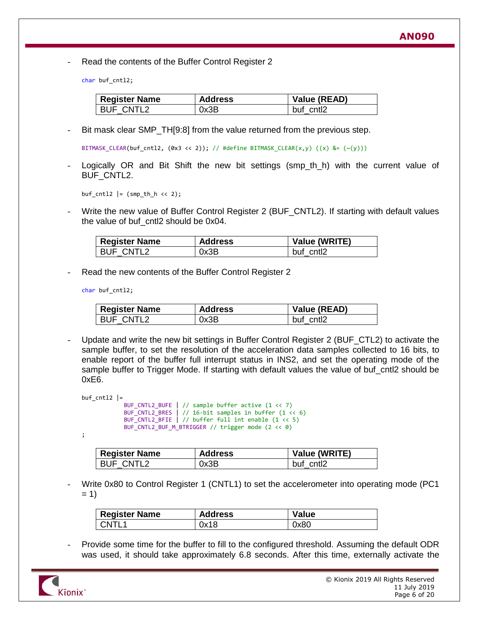Read the contents of the Buffer Control Register 2

char buf\_cntl2;

| <b>Register Name</b> | <b>Address</b> | Value (READ) |
|----------------------|----------------|--------------|
| <b>BUF CNTL2</b>     | 0x3B           | buf cntl2    |

Bit mask clear SMP TH[9:8] from the value returned from the previous step.

BITMASK\_CLEAR(buf\_cntl2,  $(0x3 \lt2)$ ); // #define BITMASK\_CLEAR(x,y)  $((x)$  &=  $(\sim(y)))$ 

Logically OR and Bit Shift the new bit settings (smp\_th\_h) with the current value of BUF\_CNTL2.

buf\_cntl2  $| = (smp_th_h \ll 2);$ 

Write the new value of Buffer Control Register 2 (BUF CNTL2). If starting with default values the value of buf cntl2 should be 0x04.

| <b>Register Name</b> | <b>Address</b> | Value (WRITE) |
|----------------------|----------------|---------------|
| BUF CNTL2            | 0x3B           | buf cntl2     |

Read the new contents of the Buffer Control Register 2

char buf\_cntl2;

| <b>Register Name</b> | <b>Address</b> | Value (READ) |
|----------------------|----------------|--------------|
| BUF CNTL2            | 0x3B           | buf cntl2    |

Update and write the new bit settings in Buffer Control Register 2 (BUF\_CTL2) to activate the sample buffer, to set the resolution of the acceleration data samples collected to 16 bits, to enable report of the buffer full interrupt status in INS2, and set the operating mode of the sample buffer to Trigger Mode. If starting with default values the value of buf\_cntl2 should be 0xE6.

```
buf cnt12 =
```

```
BUF_CNTL2_BUFE | // sample buffer active (1 << 7)
BUF_CNTL2_BRES | // 16-bit samples in buffer (1 << 6)
BUF_CNTL2_BFIE | // buffer full int enable (1 << 5)
BUF_CNTL2_BUF_M_BTRIGGER // trigger mode (2 << 0)
```
;

| <b>Register Name</b> | <b>Address</b> | Value (WRITE) |
|----------------------|----------------|---------------|
| BUF CNTL2            | 0x3B           | buf cntl2     |

- Write 0x80 to Control Register 1 (CNTL1) to set the accelerometer into operating mode (PC1  $= 1$ 

| <b>Register Name</b> | <b>Address</b> | <b>Value</b> |
|----------------------|----------------|--------------|
| CNTL1                | 0x18           | 0x80         |

- Provide some time for the buffer to fill to the configured threshold. Assuming the default ODR was used, it should take approximately 6.8 seconds. After this time, externally activate the

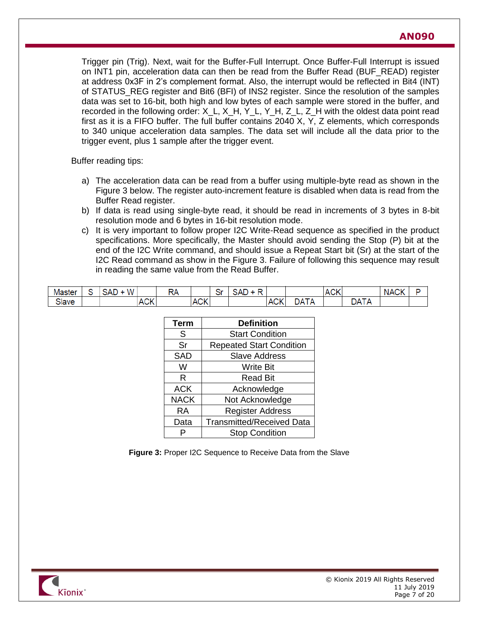Trigger pin (Trig). Next, wait for the Buffer-Full Interrupt. Once Buffer-Full Interrupt is issued on INT1 pin, acceleration data can then be read from the Buffer Read (BUF\_READ) register at address 0x3F in 2's complement format. Also, the interrupt would be reflected in Bit4 (INT) of STATUS REG register and Bit6 (BFI) of INS2 register. Since the resolution of the samples data was set to 16-bit, both high and low bytes of each sample were stored in the buffer, and recorded in the following order: X\_L, X\_H, Y\_L, Y\_H, Z\_L, Z\_H with the oldest data point read first as it is a FIFO buffer. The full buffer contains 2040 X, Y, Z elements, which corresponds to 340 unique acceleration data samples. The data set will include all the data prior to the trigger event, plus 1 sample after the trigger event.

Buffer reading tips:

- a) The acceleration data can be read from a buffer using multiple-byte read as shown in the [Figure 3](#page-6-0) below. The register auto-increment feature is disabled when data is read from the Buffer Read register.
- b) If data is read using single-byte read, it should be read in increments of 3 bytes in 8-bit resolution mode and 6 bytes in 16-bit resolution mode.
- c) It is very important to follow proper I2C Write-Read sequence as specified in the product specifications. More specifically, the Master should avoid sending the Stop (P) bit at the end of the I2C Write command, and should issue a Repeat Start bit (Sr) at the start of the I2C Read command as show in the [Figure 3.](#page-6-0) Failure of following this sequence may result in reading the same value from the Read Buffer.

| . .<br>Master   | ∽<br>◡ | W<br>$\sim$ $\sim$<br>SAD |                | <b>DA</b><br>↫ |                       | ٠.<br>וט | SAL |                      |                | $\sim$<br>$\lambda$<br><b>IAUN</b> |                            | $\sim$<br><b>NACK</b> | $\sim$ |
|-----------------|--------|---------------------------|----------------|----------------|-----------------------|----------|-----|----------------------|----------------|------------------------------------|----------------------------|-----------------------|--------|
| $\sim$<br>Slave |        |                           | $\sim$<br>ACK. |                | $\sim$<br><b>IACN</b> |          |     | $\sim$<br><b>ACK</b> | $\cdots$<br>JΔ |                                    | $-1$<br>DA<br>$\mathbf{A}$ |                       |        |

| <b>Term</b> | <b>Definition</b>                |
|-------------|----------------------------------|
| S           | <b>Start Condition</b>           |
| Sr          | <b>Repeated Start Condition</b>  |
| <b>SAD</b>  | <b>Slave Address</b>             |
| W           | <b>Write Bit</b>                 |
| R           | <b>Read Bit</b>                  |
| <b>ACK</b>  | Acknowledge                      |
| <b>NACK</b> | Not Acknowledge                  |
| RA          | <b>Register Address</b>          |
| Data        | <b>Transmitted/Received Data</b> |
|             | <b>Stop Condition</b>            |

<span id="page-6-0"></span>**Figure 3:** Proper I2C Sequence to Receive Data from the Slave

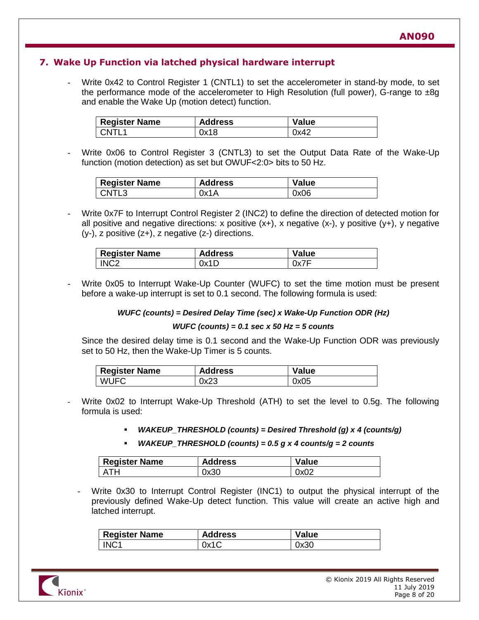## **7. Wake Up Function via latched physical hardware interrupt**

Write 0x42 to Control Register 1 (CNTL1) to set the accelerometer in stand-by mode, to set the performance mode of the accelerometer to High Resolution (full power), G-range to  $\pm 8q$ and enable the Wake Up (motion detect) function.

| <b>Register Name</b> | <b>Address</b> | <b>Value</b> |
|----------------------|----------------|--------------|
| CNTL <sup>1</sup>    | 0x18           | 0x42         |

Write 0x06 to Control Register 3 (CNTL3) to set the Output Data Rate of the Wake-Up function (motion detection) as set but OWUF<2:0> bits to 50 Hz.

| <b>Register Name</b> | <b>Address</b> | <b>Value</b> |
|----------------------|----------------|--------------|
| CNTL <sub>3</sub>    | 0x1A           | 0x06         |

Write 0x7F to Interrupt Control Register 2 (INC2) to define the direction of detected motion for all positive and negative directions: x positive  $(x+)$ , x negative  $(x-)$ , y positive  $(y+)$ , y negative (y-), z positive (z+), z negative (z-) directions.

| <b>Register Name</b> | <b>Address</b> | <b>Value</b> |
|----------------------|----------------|--------------|
| INC <sub>2</sub>     | 0x1D           | 0x7F         |

Write 0x05 to Interrupt Wake-Up Counter (WUFC) to set the time motion must be present before a wake-up interrupt is set to 0.1 second. The following formula is used:

#### *WUFC (counts) = Desired Delay Time (sec) x Wake-Up Function ODR (Hz)*

#### *WUFC (counts) = 0.1 sec x 50 Hz = 5 counts*

Since the desired delay time is 0.1 second and the Wake-Up Function ODR was previously set to 50 Hz, then the Wake-Up Timer is 5 counts.

| <b>Register Name</b> | <b>Address</b> | <b>Value</b> |
|----------------------|----------------|--------------|
| <b>WUFC</b>          | 0x23           | 0x05         |

- Write 0x02 to Interrupt Wake-Up Threshold (ATH) to set the level to 0.5g. The following formula is used:
	- *WAKEUP\_THRESHOLD (counts) = Desired Threshold (g) x 4 (counts/g)*
	- *WAKEUP\_THRESHOLD (counts) = 0.5 g x 4 counts/g = 2 counts*

| <b>Register Name</b> | <b>Address</b> | <b>Value</b> |
|----------------------|----------------|--------------|
| ATH                  | 0x30           | 0x02         |

Write 0x30 to Interrupt Control Register (INC1) to output the physical interrupt of the previously defined Wake-Up detect function. This value will create an active high and latched interrupt.

| <b>Register Name</b> | <b>Address</b> | Value |
|----------------------|----------------|-------|
| INC <sub>1</sub>     | 0x1C           | 0x30  |

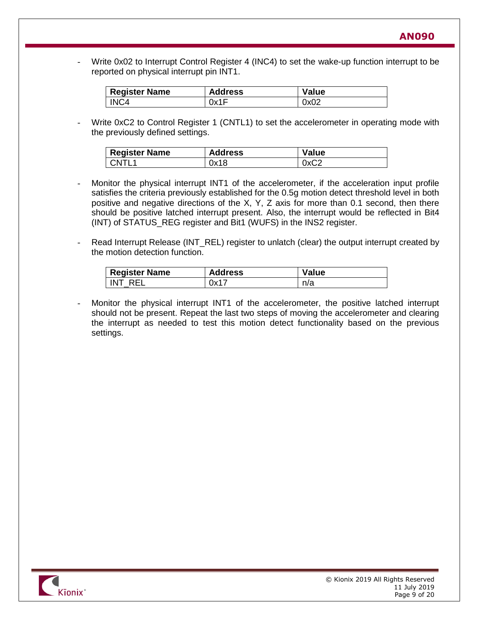Write 0x02 to Interrupt Control Register 4 (INC4) to set the wake-up function interrupt to be reported on physical interrupt pin INT1.

| <b>Register Name</b> | <b>Address</b> | <b>Value</b> |
|----------------------|----------------|--------------|
| INC <sub>4</sub>     | 0x1F           | 0x02         |

Write 0xC2 to Control Register 1 (CNTL1) to set the accelerometer in operating mode with the previously defined settings.

| <b>Register Name</b> | <b>Address</b> | <b>Value</b> |
|----------------------|----------------|--------------|
| CNTI 1               | 0x18           | 0xC2         |

- Monitor the physical interrupt INT1 of the accelerometer, if the acceleration input profile satisfies the criteria previously established for the 0.5g motion detect threshold level in both positive and negative directions of the X, Y, Z axis for more than 0.1 second, then there should be positive latched interrupt present. Also, the interrupt would be reflected in Bit4 (INT) of STATUS REG register and Bit1 (WUFS) in the INS2 register.
- Read Interrupt Release (INT\_REL) register to unlatch (clear) the output interrupt created by the motion detection function.

| <sup>I</sup> Register Name | <b>Address</b> | Value |
|----------------------------|----------------|-------|
| INT REL                    | 0x17           | n/a   |

Monitor the physical interrupt INT1 of the accelerometer, the positive latched interrupt should not be present. Repeat the last two steps of moving the accelerometer and clearing the interrupt as needed to test this motion detect functionality based on the previous settings.

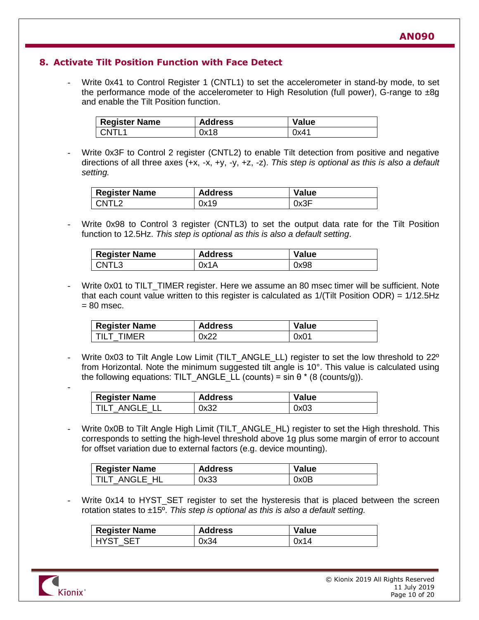### **8. Activate Tilt Position Function with Face Detect**

Write 0x41 to Control Register 1 (CNTL1) to set the accelerometer in stand-by mode, to set the performance mode of the accelerometer to High Resolution (full power), G-range to  $\pm 8q$ and enable the Tilt Position function.

| <b>Register Name</b> | <b>Address</b> | Value |
|----------------------|----------------|-------|
| CNTI 1               | 0x18           | 0x41  |

Write 0x3F to Control 2 register (CNTL2) to enable Tilt detection from positive and negative directions of all three axes (+x, -x, +y, -y, +z, -z). *This step is optional as this is also a default setting.*

| Register Name | <b>Address</b> | <b>Value</b> |
|---------------|----------------|--------------|
| CNTI ?        | 0x19           | 0x3F         |

Write 0x98 to Control 3 register (CNTL3) to set the output data rate for the Tilt Position function to 12.5Hz. *This step is optional as this is also a default setting*.

| <b>Register Name</b> | <b>Address</b> | <b>Value</b> |
|----------------------|----------------|--------------|
| CNTL3                | 0x1A           | 0x98         |

Write 0x01 to TILT\_TIMER register. Here we assume an 80 msec timer will be sufficient. Note that each count value written to this register is calculated as 1/(Tilt Position ODR) = 1/12.5Hz  $= 80$  msec.

| <b>Register Name</b> | <b>Address</b> | <b>Value</b> |
|----------------------|----------------|--------------|
| TILT TIMER           | 0x22           | 0x01         |

Write 0x03 to Tilt Angle Low Limit (TILT\_ANGLE\_LL) register to set the low threshold to 22<sup>o</sup> from Horizontal. Note the minimum suggested tilt angle is 10°. This value is calculated using the following equations: TILT\_ANGLE\_LL (counts) = sin  $\theta$  \* (8 (counts/g)).

| <b>Register Name</b> | <b>Address</b> | <b>Value</b> |
|----------------------|----------------|--------------|
| TILT ANGLE LL        | 0x32           | 0x03         |

Write 0x0B to Tilt Angle High Limit (TILT ANGLE HL) register to set the High threshold. This corresponds to setting the high-level threshold above 1g plus some margin of error to account for offset variation due to external factors (e.g. device mounting).

| <b>Register Name</b> | <b>Address</b> | <b>Value</b> |
|----------------------|----------------|--------------|
| TILT ANGLE HL        | 0x33           | 0x0B         |

Write 0x14 to HYST\_SET register to set the hysteresis that is placed between the screen rotation states to ±15º. *This step is optional as this is also a default setting.*

| <b>Register Name</b> | <b>Address</b> | Value |
|----------------------|----------------|-------|
| <b>HYST SET</b>      | 0x34           | 0x14  |



-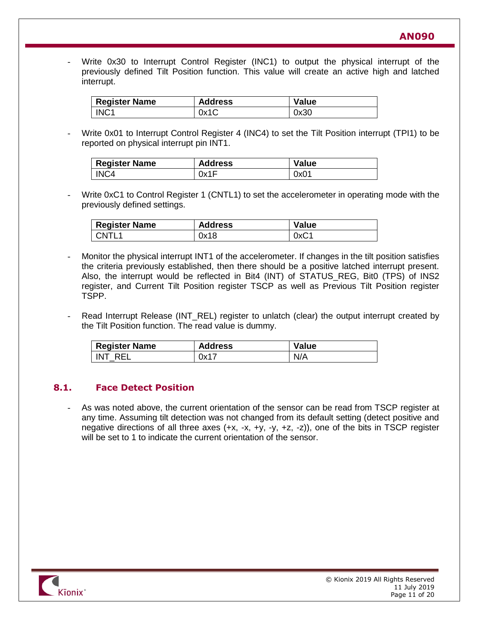Write 0x30 to Interrupt Control Register (INC1) to output the physical interrupt of the previously defined Tilt Position function. This value will create an active high and latched interrupt.

| Register Name    | <b>Address</b> | <b>Value</b> |
|------------------|----------------|--------------|
| INC <sub>1</sub> | 0x1C           | 0x30         |

Write 0x01 to Interrupt Control Register 4 (INC4) to set the Tilt Position interrupt (TPI1) to be reported on physical interrupt pin INT1.

| <b>Register Name</b> | <b>Address</b> | <b>Value</b> |
|----------------------|----------------|--------------|
| INC <sub>4</sub>     | 0x1F           | 0x01         |

Write 0xC1 to Control Register 1 (CNTL1) to set the accelerometer in operating mode with the previously defined settings.

| <b>Register Name</b> | <b>Address</b> | <b>Value</b> |
|----------------------|----------------|--------------|
| CNTL <sub>1</sub>    | 0x18           | 0xC1         |

- Monitor the physical interrupt INT1 of the accelerometer. If changes in the tilt position satisfies the criteria previously established, then there should be a positive latched interrupt present. Also, the interrupt would be reflected in Bit4 (INT) of STATUS\_REG, Bit0 (TPS) of INS2 register, and Current Tilt Position register TSCP as well as Previous Tilt Position register TSPP.
- Read Interrupt Release (INT\_REL) register to unlatch (clear) the output interrupt created by the Tilt Position function. The read value is dummy.

| <b>Register Name</b> | <b>Address</b> | <b>Value</b> |
|----------------------|----------------|--------------|
| INT RFI              | 0x17           | N/A          |

### **8.1. Face Detect Position**

As was noted above, the current orientation of the sensor can be read from TSCP register at any time. Assuming tilt detection was not changed from its default setting (detect positive and negative directions of all three axes  $(+x, -x, +y, -y, +z, -z)$ , one of the bits in TSCP register will be set to 1 to indicate the current orientation of the sensor.

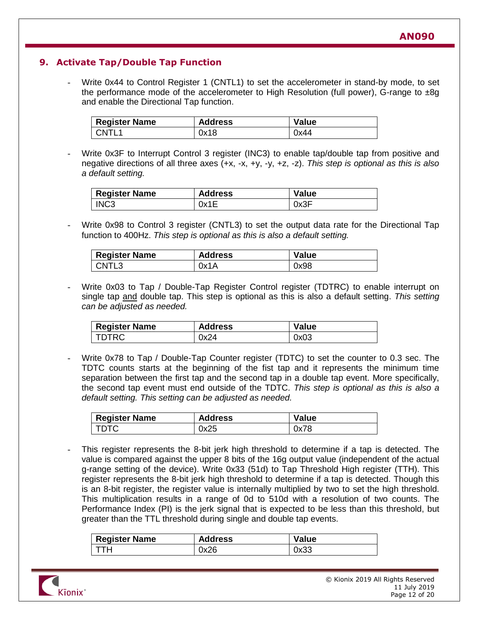# **9. Activate Tap/Double Tap Function**

Write 0x44 to Control Register 1 (CNTL1) to set the accelerometer in stand-by mode, to set the performance mode of the accelerometer to High Resolution (full power), G-range to  $\pm 8q$ and enable the Directional Tap function.

| <b>Register Name</b> | <b>Address</b> | <b>Value</b> |
|----------------------|----------------|--------------|
| I CNTI 1             | 0x18           | 0x44         |

Write 0x3F to Interrupt Control 3 register (INC3) to enable tap/double tap from positive and negative directions of all three axes (+x, -x, +y, -y, +z, -z). *This step is optional as this is also a default setting.*

| <b>Register Name</b> | <b>Address</b> | <b>Value</b> |
|----------------------|----------------|--------------|
| INC <sub>3</sub>     | 0x1E           | 0x3F         |

Write 0x98 to Control 3 register (CNTL3) to set the output data rate for the Directional Tap function to 400Hz. *This step is optional as this is also a default setting.* 

| <b>Register Name</b> | <b>Address</b> | Value |
|----------------------|----------------|-------|
| CNTL3                | 0x1A           | 0x98  |

Write 0x03 to Tap / Double-Tap Register Control register (TDTRC) to enable interrupt on single tap and double tap. This step is optional as this is also a default setting. *This setting can be adjusted as needed.*

| <b>Register Name</b> | <b>Address</b> | <b>Value</b> |
|----------------------|----------------|--------------|
| I TDTRC.             | 0x24           | 0x03         |

Write 0x78 to Tap / Double-Tap Counter register (TDTC) to set the counter to 0.3 sec. The TDTC counts starts at the beginning of the fist tap and it represents the minimum time separation between the first tap and the second tap in a double tap event. More specifically, the second tap event must end outside of the TDTC. *This step is optional as this is also a default setting. This setting can be adjusted as needed.*

| <b>Register Name</b> | <b>Address</b> | <b>Value</b> |
|----------------------|----------------|--------------|
| <b>TDTC</b>          | 0x25           | 0x78         |

This register represents the 8-bit jerk high threshold to determine if a tap is detected. The value is compared against the upper 8 bits of the 16g output value (independent of the actual g-range setting of the device). Write 0x33 (51d) to Tap Threshold High register (TTH). This register represents the 8-bit jerk high threshold to determine if a tap is detected. Though this is an 8-bit register, the register value is internally multiplied by two to set the high threshold. This multiplication results in a range of 0d to 510d with a resolution of two counts. The Performance Index (PI) is the jerk signal that is expected to be less than this threshold, but greater than the TTL threshold during single and double tap events.

| <b>Register Name</b> | <b>Address</b> | Value |
|----------------------|----------------|-------|
| ттн                  | 0x26           | 0x33  |

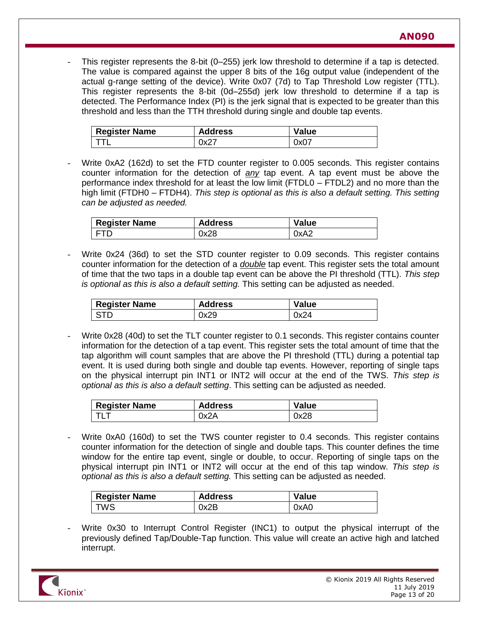This register represents the 8-bit (0–255) jerk low threshold to determine if a tap is detected. The value is compared against the upper 8 bits of the 16g output value (independent of the actual g-range setting of the device). Write 0x07 (7d) to Tap Threshold Low register (TTL). This register represents the 8-bit (0d–255d) jerk low threshold to determine if a tap is detected. The Performance Index (PI) is the jerk signal that is expected to be greater than this threshold and less than the TTH threshold during single and double tap events.

| <b>Register Name</b> | <b>Address</b> | Value |
|----------------------|----------------|-------|
|                      | 0x2.           | 0x07  |

Write 0xA2 (162d) to set the FTD counter register to 0.005 seconds. This register contains counter information for the detection of *any* tap event. A tap event must be above the performance index threshold for at least the low limit (FTDL0 – FTDL2) and no more than the high limit (FTDH0 – FTDH4). *This step is optional as this is also a default setting. This setting can be adjusted as needed.*

| <b>Register Name</b> | <b>Address</b> | <b>Value</b> |
|----------------------|----------------|--------------|
| <b>FTD</b>           | 0x28           | 0xA2         |

Write 0x24 (36d) to set the STD counter register to 0.09 seconds. This register contains counter information for the detection of a *double* tap event. This register sets the total amount of time that the two taps in a double tap event can be above the PI threshold (TTL). *This step is optional as this is also a default setting.* This setting can be adjusted as needed.

| <b>Register Name</b> | <b>Address</b> | <b>Value</b> |
|----------------------|----------------|--------------|
| l STD                | 0x29           | 0x24         |

Write 0x28 (40d) to set the TLT counter register to 0.1 seconds. This register contains counter information for the detection of a tap event. This register sets the total amount of time that the tap algorithm will count samples that are above the PI threshold (TTL) during a potential tap event. It is used during both single and double tap events. However, reporting of single taps on the physical interrupt pin INT1 or INT2 will occur at the end of the TWS. *This step is optional as this is also a default setting*. This setting can be adjusted as needed.

| <b>Register Name</b> | <b>Address</b> | Value |
|----------------------|----------------|-------|
|                      | 0x2A           | 0x28  |

Write 0xA0 (160d) to set the TWS counter register to 0.4 seconds. This register contains counter information for the detection of single and double taps. This counter defines the time window for the entire tap event, single or double, to occur. Reporting of single taps on the physical interrupt pin INT1 or INT2 will occur at the end of this tap window. *This step is optional as this is also a default setting.* This setting can be adjusted as needed.

| <b>Register Name</b> | <b>Address</b> | <b>Value</b> |
|----------------------|----------------|--------------|
| TWS                  | 0x2B           | 0xA0         |

Write 0x30 to Interrupt Control Register (INC1) to output the physical interrupt of the previously defined Tap/Double-Tap function. This value will create an active high and latched interrupt.

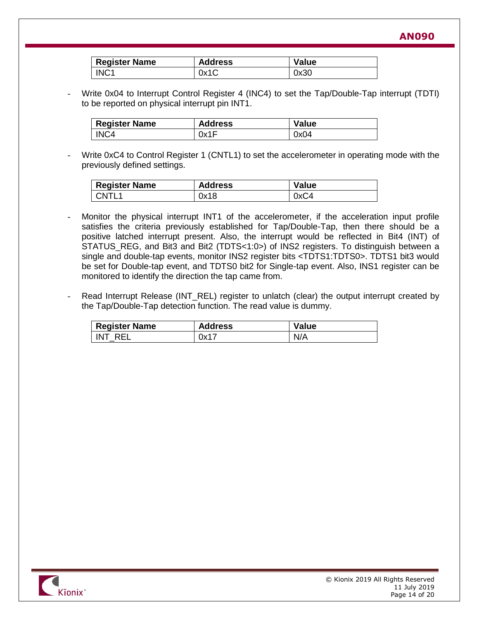**AN090**

| <sup>I</sup> Register Name | <b>Address</b> | <b>Value</b> |
|----------------------------|----------------|--------------|
| INC <sub>1</sub>           | 0x1C           | 0x30         |

Write 0x04 to Interrupt Control Register 4 (INC4) to set the Tap/Double-Tap interrupt (TDTI) to be reported on physical interrupt pin INT1.

| <b>Register Name</b> | <b>Address</b> | <b>Value</b> |
|----------------------|----------------|--------------|
| INC4                 | 0x1F           | 0x04         |

Write 0xC4 to Control Register 1 (CNTL1) to set the accelerometer in operating mode with the previously defined settings.

| <b>Register Name</b> | <b>Address</b> | Value |
|----------------------|----------------|-------|
| CNTL1                | 0x18           | 0xC4  |

- Monitor the physical interrupt INT1 of the accelerometer, if the acceleration input profile satisfies the criteria previously established for Tap/Double-Tap, then there should be a positive latched interrupt present. Also, the interrupt would be reflected in Bit4 (INT) of STATUS REG, and Bit3 and Bit2 (TDTS<1:0>) of INS2 registers. To distinguish between a single and double-tap events, monitor INS2 register bits <TDTS1:TDTS0>. TDTS1 bit3 would be set for Double-tap event, and TDTS0 bit2 for Single-tap event. Also, INS1 register can be monitored to identify the direction the tap came from.
- Read Interrupt Release (INT\_REL) register to unlatch (clear) the output interrupt created by the Tap/Double-Tap detection function. The read value is dummy.

| <b>Register Name</b> | <b>Address</b> | Value |
|----------------------|----------------|-------|
| INT RFI              | 0x17           | N/A   |

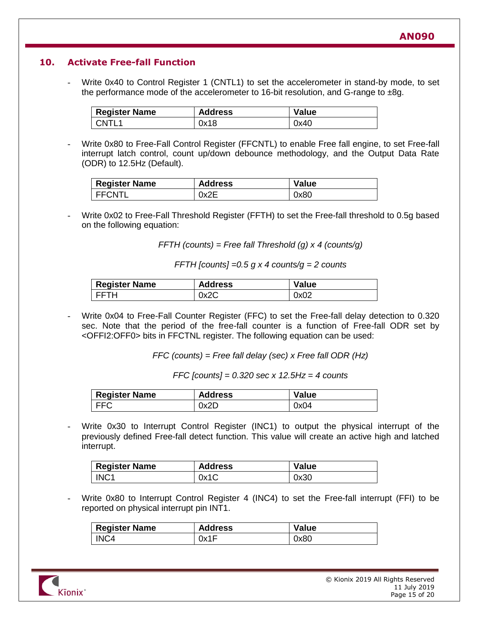## **10. Activate Free-fall Function**

Write 0x40 to Control Register 1 (CNTL1) to set the accelerometer in stand-by mode, to set the performance mode of the accelerometer to 16-bit resolution, and G-range to  $\pm 8q$ .

| <b>Register Name</b> | <b>Address</b> | <b>Value</b> |
|----------------------|----------------|--------------|
| CNTL <sub>1</sub>    | 0x18           | 0x40         |

Write 0x80 to Free-Fall Control Register (FFCNTL) to enable Free fall engine, to set Free-fall interrupt latch control, count up/down debounce methodology, and the Output Data Rate (ODR) to 12.5Hz (Default).

| <b>Register Name</b> | <b>Address</b> | <b>Value</b> |
|----------------------|----------------|--------------|
| <b>FFCNTL</b>        | 0x2E           | 0x80         |

Write 0x02 to Free-Fall Threshold Register (FFTH) to set the Free-fall threshold to 0.5g based on the following equation:

*FFTH (counts) = Free fall Threshold (g) x 4 (counts/g)*

*FFTH [counts] =0.5 g x 4 counts/g = 2 counts*

| <b>Register Name</b> | <b>Address</b> | <b>Value</b> |
|----------------------|----------------|--------------|
| FFTH                 | 0x2C           | 0x02         |

Write 0x04 to Free-Fall Counter Register (FFC) to set the Free-fall delay detection to 0.320 sec. Note that the period of the free-fall counter is a function of Free-fall ODR set by <OFFI2:OFF0> bits in FFCTNL register. The following equation can be used:

*FFC (counts) = Free fall delay (sec) x Free fall ODR (Hz)*

*FFC [counts] = 0.320 sec x 12.5Hz = 4 counts*

| <b>Register Name</b> | <b>Address</b> | <b>Value</b> |
|----------------------|----------------|--------------|
| <b>FFC</b>           | 0x2D           | 0x04         |

Write 0x30 to Interrupt Control Register (INC1) to output the physical interrupt of the previously defined Free-fall detect function. This value will create an active high and latched interrupt.

| <b>Register Name</b> | <b>Address</b> | Value |
|----------------------|----------------|-------|
| INC <sub>1</sub>     | 0x1C           | 0x30  |

Write 0x80 to Interrupt Control Register 4 (INC4) to set the Free-fall interrupt (FFI) to be reported on physical interrupt pin INT1.

| <b>Register Name</b> | <b>Address</b> | Value |
|----------------------|----------------|-------|
| INC4                 | 0x1F           | 0x80  |

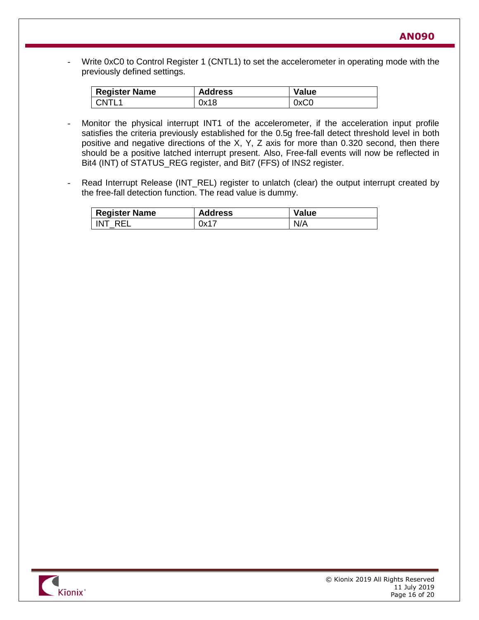- Write 0xC0 to Control Register 1 (CNTL1) to set the accelerometer in operating mode with the previously defined settings.

| <b>Register Name</b> | <b>Address</b> | Value |
|----------------------|----------------|-------|
| CNTL <sub>1</sub>    | 0x18           | 0xC0  |

- Monitor the physical interrupt INT1 of the accelerometer, if the acceleration input profile satisfies the criteria previously established for the 0.5g free-fall detect threshold level in both positive and negative directions of the X, Y, Z axis for more than 0.320 second, then there should be a positive latched interrupt present. Also, Free-fall events will now be reflected in Bit4 (INT) of STATUS\_REG register, and Bit7 (FFS) of INS2 register.
- Read Interrupt Release (INT\_REL) register to unlatch (clear) the output interrupt created by the free-fall detection function. The read value is dummy.

| <b>Register Name</b> | <b>Address</b> | <b>Value</b> |
|----------------------|----------------|--------------|
| INT REL              | 0x17           | N/A          |

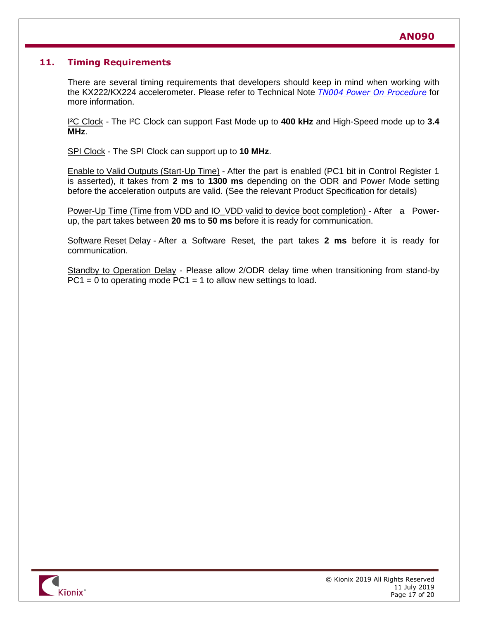## **11. Timing Requirements**

There are several timing requirements that developers should keep in mind when working with the KX222/KX224 accelerometer. Please refer to Technical Note *[TN004 Power On Procedure](http://www.kionix.com/technical-notes)* for more information.

I²C Clock - The I²C Clock can support Fast Mode up to **400 kHz** and High-Speed mode up to **3.4 MHz**.

SPI Clock - The SPI Clock can support up to **10 MHz**.

Enable to Valid Outputs (Start-Up Time) - After the part is enabled (PC1 bit in Control Register 1 is asserted), it takes from **2 ms** to **1300 ms** depending on the ODR and Power Mode setting before the acceleration outputs are valid. (See the relevant Product Specification for details)

Power-Up Time (Time from VDD and IO\_VDD valid to device boot completion) - After a Powerup, the part takes between **20 ms** to **50 ms** before it is ready for communication.

Software Reset Delay - After a Software Reset, the part takes **2 ms** before it is ready for communication.

Standby to Operation Delay - Please allow 2/ODR delay time when transitioning from stand-by  $PC1 = 0$  to operating mode  $PC1 = 1$  to allow new settings to load.

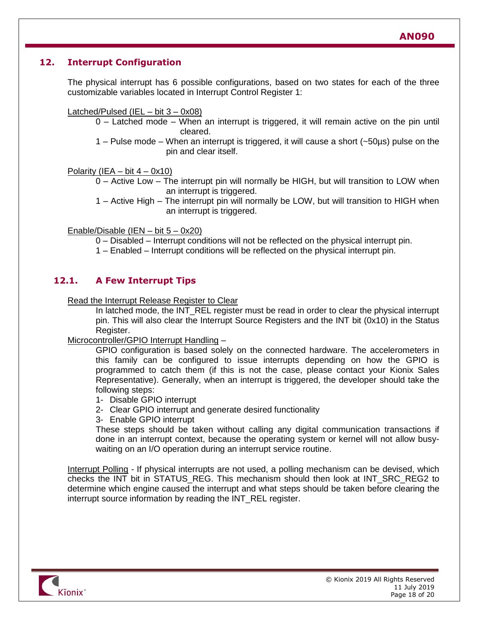## **12. Interrupt Configuration**

The physical interrupt has 6 possible configurations, based on two states for each of the three customizable variables located in Interrupt Control Register 1:

Latched/Pulsed (IEL - bit 3 - 0x08)

- 0 Latched mode When an interrupt is triggered, it will remain active on the pin until cleared.
- 1 Pulse mode When an interrupt is triggered, it will cause a short (~50µs) pulse on the pin and clear itself.

Polarity (IEA – bit  $4 - 0x10$ )

0 – Active Low – The interrupt pin will normally be HIGH, but will transition to LOW when an interrupt is triggered.

1 – Active High – The interrupt pin will normally be LOW, but will transition to HIGH when an interrupt is triggered.

Enable/Disable (IEN – bit 5 – 0x20)

0 – Disabled – Interrupt conditions will not be reflected on the physical interrupt pin.

1 – Enabled – Interrupt conditions will be reflected on the physical interrupt pin.

## **12.1. A Few Interrupt Tips**

Read the Interrupt Release Register to Clear

In latched mode, the INT\_REL register must be read in order to clear the physical interrupt pin. This will also clear the Interrupt Source Registers and the INT bit (0x10) in the Status Register.

Microcontroller/GPIO Interrupt Handling –

GPIO configuration is based solely on the connected hardware. The accelerometers in this family can be configured to issue interrupts depending on how the GPIO is programmed to catch them (if this is not the case, please contact your Kionix Sales Representative). Generally, when an interrupt is triggered, the developer should take the following steps:

1- Disable GPIO interrupt

2- Clear GPIO interrupt and generate desired functionality

3- Enable GPIO interrupt

These steps should be taken without calling any digital communication transactions if done in an interrupt context, because the operating system or kernel will not allow busywaiting on an I/O operation during an interrupt service routine.

Interrupt Polling - If physical interrupts are not used, a polling mechanism can be devised, which checks the INT bit in STATUS\_REG. This mechanism should then look at INT\_SRC\_REG2 to determine which engine caused the interrupt and what steps should be taken before clearing the interrupt source information by reading the INT\_REL register.

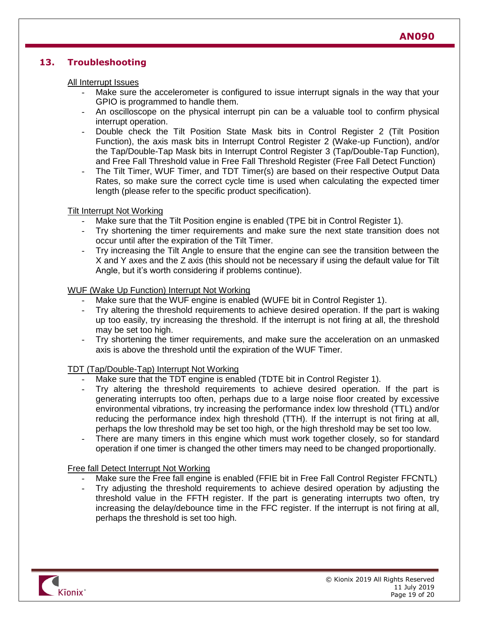## **13. Troubleshooting**

#### All Interrupt Issues

- Make sure the accelerometer is configured to issue interrupt signals in the way that your GPIO is programmed to handle them.
- An oscilloscope on the physical interrupt pin can be a valuable tool to confirm physical interrupt operation.
- Double check the Tilt Position State Mask bits in Control Register 2 (Tilt Position Function), the axis mask bits in Interrupt Control Register 2 (Wake-up Function), and/or the Tap/Double-Tap Mask bits in Interrupt Control Register 3 (Tap/Double-Tap Function), and Free Fall Threshold value in Free Fall Threshold Register (Free Fall Detect Function)
- The Tilt Timer, WUF Timer, and TDT Timer(s) are based on their respective Output Data Rates, so make sure the correct cycle time is used when calculating the expected timer length (please refer to the specific product specification).

#### Tilt Interrupt Not Working

- Make sure that the Tilt Position engine is enabled (TPE bit in Control Register 1).
- Try shortening the timer requirements and make sure the next state transition does not occur until after the expiration of the Tilt Timer.
- Try increasing the Tilt Angle to ensure that the engine can see the transition between the X and Y axes and the Z axis (this should not be necessary if using the default value for Tilt Angle, but it's worth considering if problems continue).

#### WUF (Wake Up Function) Interrupt Not Working

- Make sure that the WUF engine is enabled (WUFE bit in Control Register 1).
- Try altering the threshold requirements to achieve desired operation. If the part is waking up too easily, try increasing the threshold. If the interrupt is not firing at all, the threshold may be set too high.
- Try shortening the timer requirements, and make sure the acceleration on an unmasked axis is above the threshold until the expiration of the WUF Timer.

#### TDT (Tap/Double-Tap) Interrupt Not Working

- Make sure that the TDT engine is enabled (TDTE bit in Control Register 1).
- Try altering the threshold requirements to achieve desired operation. If the part is generating interrupts too often, perhaps due to a large noise floor created by excessive environmental vibrations, try increasing the performance index low threshold (TTL) and/or reducing the performance index high threshold (TTH). If the interrupt is not firing at all, perhaps the low threshold may be set too high, or the high threshold may be set too low.
- There are many timers in this engine which must work together closely, so for standard operation if one timer is changed the other timers may need to be changed proportionally.

#### Free fall Detect Interrupt Not Working

- Make sure the Free fall engine is enabled (FFIE bit in Free Fall Control Register FFCNTL)
- Try adjusting the threshold requirements to achieve desired operation by adjusting the threshold value in the FFTH register. If the part is generating interrupts two often, try increasing the delay/debounce time in the FFC register. If the interrupt is not firing at all, perhaps the threshold is set too high.